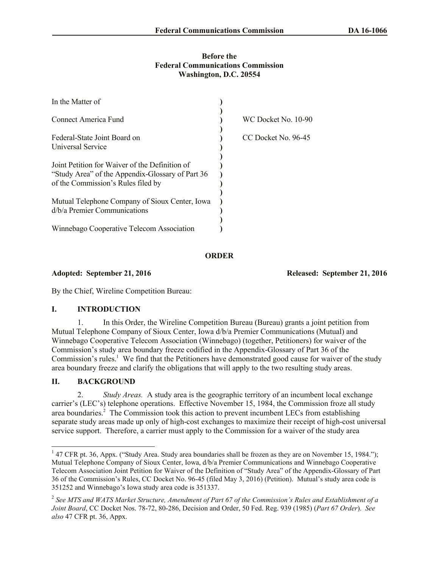## **Before the Federal Communications Commission Washington, D.C. 20554**

| In the Matter of                                 |                     |
|--------------------------------------------------|---------------------|
| Connect America Fund                             | WC Docket No. 10-90 |
| Federal-State Joint Board on                     | CC Docket No. 96-45 |
| <b>Universal Service</b>                         |                     |
| Joint Petition for Waiver of the Definition of   |                     |
| "Study Area" of the Appendix-Glossary of Part 36 |                     |
| of the Commission's Rules filed by               |                     |
| Mutual Telephone Company of Sioux Center, Iowa   |                     |
| d/b/a Premier Communications                     |                     |
| Winnebago Cooperative Telecom Association        |                     |

**ORDER**

## **Adopted: September 21, 2016 Released: September 21, 2016**

By the Chief, Wireline Competition Bureau:

# **I. INTRODUCTION**

1. In this Order, the Wireline Competition Bureau (Bureau) grants a joint petition from Mutual Telephone Company of Sioux Center, Iowa d/b/a Premier Communications (Mutual) and Winnebago Cooperative Telecom Association (Winnebago) (together, Petitioners) for waiver of the Commission's study area boundary freeze codified in the Appendix-Glossary of Part 36 of the Commission's rules.<sup>1</sup> We find that the Petitioners have demonstrated good cause for waiver of the study area boundary freeze and clarify the obligations that will apply to the two resulting study areas.

# **II. BACKGROUND**

2. *Study Areas.* A study area is the geographic territory of an incumbent local exchange carrier's (LEC's) telephone operations. Effective November 15, 1984, the Commission froze all study area boundaries.<sup>2</sup> The Commission took this action to prevent incumbent LECs from establishing separate study areas made up only of high-cost exchanges to maximize their receipt of high-cost universal service support. Therefore, a carrier must apply to the Commission for a waiver of the study area

<sup>&</sup>lt;sup>1</sup> 47 CFR pt. 36, Appx. ("Study Area. Study area boundaries shall be frozen as they are on November 15, 1984."); Mutual Telephone Company of Sioux Center, Iowa, d/b/a Premier Communications and Winnebago Cooperative Telecom Association Joint Petition for Waiver of the Definition of "Study Area" of the Appendix-Glossary of Part 36 of the Commission's Rules, CC Docket No. 96-45 (filed May 3, 2016) (Petition). Mutual's study area code is 351252 and Winnebago's Iowa study area code is 351337.

<sup>2</sup> *See MTS and WATS Market Structure, Amendment of Part 67 of the Commission's Rules and Establishment of a Joint Board*, CC Docket Nos. 78-72, 80-286, Decision and Order, 50 Fed. Reg. 939 (1985) (*Part 67 Order*). *See also* 47 CFR pt. 36, Appx.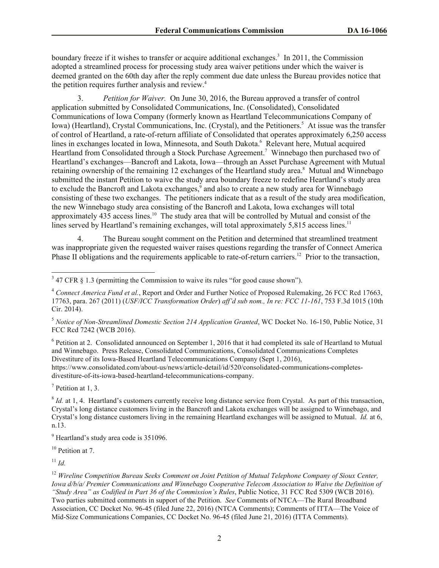boundary freeze if it wishes to transfer or acquire additional exchanges.<sup>3</sup> In 2011, the Commission adopted a streamlined process for processing study area waiver petitions under which the waiver is deemed granted on the 60th day after the reply comment due date unless the Bureau provides notice that the petition requires further analysis and review.<sup>4</sup>

3. *Petition for Waiver.* On June 30, 2016, the Bureau approved a transfer of control application submitted by Consolidated Communications, Inc. (Consolidated), Consolidated Communications of Iowa Company (formerly known as Heartland Telecommunications Company of Iowa) (Heartland), Crystal Communications, Inc. (Crystal), and the Petitioners.<sup>5</sup> At issue was the transfer of control of Heartland, a rate-of-return affiliate of Consolidated that operates approximately 6,250 access lines in exchanges located in Iowa, Minnesota, and South Dakota.<sup>6</sup> Relevant here, Mutual acquired Heartland from Consolidated through a Stock Purchase Agreement.<sup>7</sup> Winnebago then purchased two of Heartland's exchanges—Bancroft and Lakota, Iowa—through an Asset Purchase Agreement with Mutual retaining ownership of the remaining 12 exchanges of the Heartland study area.<sup>8</sup> Mutual and Winnebago submitted the instant Petition to waive the study area boundary freeze to redefine Heartland's study area to exclude the Bancroft and Lakota exchanges,<sup>9</sup> and also to create a new study area for Winnebago consisting of these two exchanges. The petitioners indicate that as a result of the study area modification, the new Winnebago study area consisting of the Bancroft and Lakota, Iowa exchanges will total approximately 435 access lines.<sup>10</sup> The study area that will be controlled by Mutual and consist of the lines served by Heartland's remaining exchanges, will total approximately 5,815 access lines.<sup>11</sup>

4. The Bureau sought comment on the Petition and determined that streamlined treatment was inappropriate given the requested waiver raises questions regarding the transfer of Connect America Phase II obligations and the requirements applicable to rate-of-return carriers.<sup>12</sup> Prior to the transaction,

<sup>5</sup> *Notice of Non-Streamlined Domestic Section 214 Application Granted*, WC Docket No. 16-150, Public Notice, 31 FCC Rcd 7242 (WCB 2016).

 $6$  Petition at 2. Consolidated announced on September 1, 2016 that it had completed its sale of Heartland to Mutual and Winnebago. Press Release, Consolidated Communications, Consolidated Communications Completes Divestiture of its Iowa-Based Heartland Telecommunications Company (Sept 1, 2016), https://www.consolidated.com/about-us/news/article-detail/id/520/consolidated-communications-completesdivestiture-of-its-iowa-based-heartland-telecommunications-company.

 $7$  Petition at 1, 3.

 $8$  *Id.* at 1, 4. Heartland's customers currently receive long distance service from Crystal. As part of this transaction, Crystal's long distance customers living in the Bancroft and Lakota exchanges will be assigned to Winnebago, and Crystal's long distance customers living in the remaining Heartland exchanges will be assigned to Mutual. *Id.* at 6, n.13.

<sup>9</sup> Heartland's study area code is 351096.

 $10$  Petition at 7.

 $11$  *Id.* 

 $\overline{\phantom{a}}$ 

<sup>12</sup> *Wireline Competition Bureau Seeks Comment on Joint Petition of Mutual Telephone Company of Sioux Center, Iowa d/b/a/ Premier Communications and Winnebago Cooperative Telecom Association to Waive the Definition of "Study Area" as Codified in Part 36 of the Commission's Rules*, Public Notice, 31 FCC Rcd 5309 (WCB 2016). Two parties submitted comments in support of the Petition. *See* Comments of NTCA—The Rural Broadband Association, CC Docket No. 96-45 (filed June 22, 2016) (NTCA Comments); Comments of ITTA—The Voice of Mid-Size Communications Companies, CC Docket No. 96-45 (filed June 21, 2016) (ITTA Comments).

 $3$  47 CFR  $\S$  1.3 (permitting the Commission to waive its rules "for good cause shown").

<sup>4</sup> *Connect America Fund et al.*, Report and Order and Further Notice of Proposed Rulemaking, 26 FCC Rcd 17663, 17763, para. 267 (2011) (*USF/ICC Transformation Order*) *aff'd sub nom., In re: FCC 11-161*, 753 F.3d 1015 (10th Cir. 2014).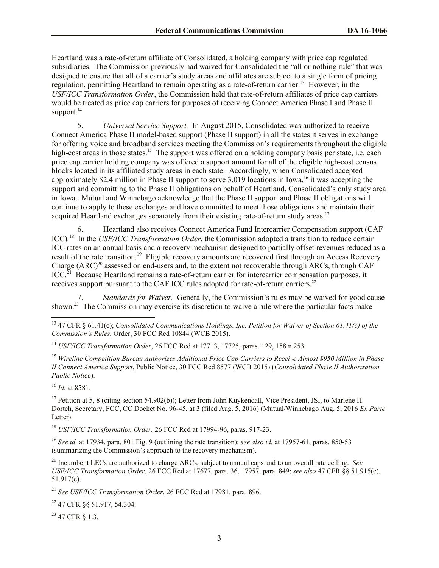Heartland was a rate-of-return affiliate of Consolidated, a holding company with price cap regulated subsidiaries. The Commission previously had waived for Consolidated the "all or nothing rule" that was designed to ensure that all of a carrier's study areas and affiliates are subject to a single form of pricing regulation, permitting Heartland to remain operating as a rate-of-return carrier.<sup>13</sup> However, in the *USF/ICC Transformation Order*, the Commission held that rate-of-return affiliates of price cap carriers would be treated as price cap carriers for purposes of receiving Connect America Phase I and Phase II support.<sup>14</sup>

5. *Universal Service Support.* In August 2015, Consolidated was authorized to receive Connect America Phase II model-based support (Phase II support) in all the states it serves in exchange for offering voice and broadband services meeting the Commission's requirements throughout the eligible high-cost areas in those states.<sup>15</sup> The support was offered on a holding company basis per state, i.e. each price cap carrier holding company was offered a support amount for all of the eligible high-cost census blocks located in its affiliated study areas in each state. Accordingly, when Consolidated accepted approximately \$2.4 million in Phase II support to serve 3,019 locations in Iowa, <sup>16</sup> it was accepting the support and committing to the Phase II obligations on behalf of Heartland, Consolidated's only study area in Iowa. Mutual and Winnebago acknowledge that the Phase II support and Phase II obligations will continue to apply to these exchanges and have committed to meet those obligations and maintain their acquired Heartland exchanges separately from their existing rate-of-return study areas.<sup>17</sup>

6. Heartland also receives Connect America Fund Intercarrier Compensation support (CAF ICC)*.* 18 In the *USF/ICC Transformation Order*, the Commission adopted a transition to reduce certain ICC rates on an annual basis and a recovery mechanism designed to partially offset revenues reduced as a result of the rate transition.<sup>19</sup> Eligible recovery amounts are recovered first through an Access Recovery Charge  $(ARC)^{20}$  assessed on end-users and, to the extent not recoverable through ARCs, through CAF  $ICC<sup>21</sup>$  Because Heartland remains a rate-of-return carrier for intercarrier compensation purposes, it receives support pursuant to the CAF ICC rules adopted for rate-of-return carriers.<sup>22</sup>

7. *Standards for Waiver.* Generally, the Commission's rules may be waived for good cause shown.<sup>23</sup> The Commission may exercise its discretion to waive a rule where the particular facts make

<sup>16</sup> *Id.* at 8581.

 $\overline{\phantom{a}}$ 

<sup>17</sup> Petition at 5, 8 (citing section 54.902(b)); Letter from John Kuykendall, Vice President, JSI, to Marlene H. Dortch, Secretary, FCC, CC Docket No. 96-45, at 3 (filed Aug. 5, 2016) (Mutual/Winnebago Aug. 5, 2016 *Ex Parte* Letter).

<sup>18</sup> *USF/ICC Transformation Order,* 26 FCC Rcd at 17994-96, paras. 917-23.

<sup>19</sup> *See id.* at 17934, para. 801 Fig. 9 (outlining the rate transition); *see also id.* at 17957-61, paras. 850-53 (summarizing the Commission's approach to the recovery mechanism).

<sup>20</sup> Incumbent LECs are authorized to charge ARCs, subject to annual caps and to an overall rate ceiling. *See USF/ICC Transformation Order*, 26 FCC Rcd at 17677, para. 36, 17957, para. 849; *see also* 47 CFR §§ 51.915(e), 51.917(e).

<sup>21</sup> *See USF/ICC Transformation Order*, 26 FCC Rcd at 17981, para. 896.

<sup>22</sup> 47 CFR §§ 51.917, 54.304.

<sup>23</sup> 47 CFR § 1.3.

<sup>13</sup> 47 CFR § 61.41(c); *Consolidated Communications Holdings, Inc. Petition for Waiver of Section 61.41(c) of the Commission's Rules*, Order, 30 FCC Rcd 10844 (WCB 2015).

<sup>14</sup> *USF/ICC Transformation Order*, 26 FCC Rcd at 17713, 17725, paras. 129, 158 n.253.

<sup>15</sup> *Wireline Competition Bureau Authorizes Additional Price Cap Carriers to Receive Almost \$950 Million in Phase II Connect America Support*, Public Notice, 30 FCC Rcd 8577 (WCB 2015) (*Consolidated Phase II Authorization Public Notice*).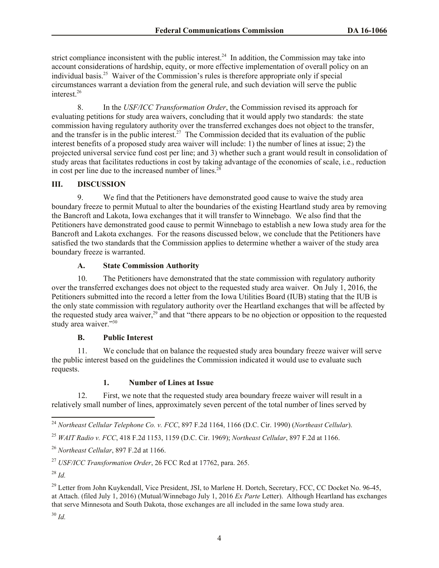strict compliance inconsistent with the public interest.<sup>24</sup> In addition, the Commission may take into account considerations of hardship, equity, or more effective implementation of overall policy on an individual basis.<sup>25</sup> Waiver of the Commission's rules is therefore appropriate only if special circumstances warrant a deviation from the general rule, and such deviation will serve the public interest.<sup>26</sup>

8. In the *USF/ICC Transformation Order*, the Commission revised its approach for evaluating petitions for study area waivers, concluding that it would apply two standards: the state commission having regulatory authority over the transferred exchanges does not object to the transfer, and the transfer is in the public interest.<sup>27</sup> The Commission decided that its evaluation of the public interest benefits of a proposed study area waiver will include: 1) the number of lines at issue; 2) the projected universal service fund cost per line; and 3) whether such a grant would result in consolidation of study areas that facilitates reductions in cost by taking advantage of the economies of scale, i.e., reduction in cost per line due to the increased number of lines. $28$ 

#### **III. DISCUSSION**

9. We find that the Petitioners have demonstrated good cause to waive the study area boundary freeze to permit Mutual to alter the boundaries of the existing Heartland study area by removing the Bancroft and Lakota, Iowa exchanges that it will transfer to Winnebago. We also find that the Petitioners have demonstrated good cause to permit Winnebago to establish a new Iowa study area for the Bancroft and Lakota exchanges. For the reasons discussed below, we conclude that the Petitioners have satisfied the two standards that the Commission applies to determine whether a waiver of the study area boundary freeze is warranted.

## **A. State Commission Authority**

10. The Petitioners have demonstrated that the state commission with regulatory authority over the transferred exchanges does not object to the requested study area waiver. On July 1, 2016, the Petitioners submitted into the record a letter from the Iowa Utilities Board (IUB) stating that the IUB is the only state commission with regulatory authority over the Heartland exchanges that will be affected by the requested study area waiver,<sup>29</sup> and that "there appears to be no objection or opposition to the requested study area waiver."30

## **B. Public Interest**

11. We conclude that on balance the requested study area boundary freeze waiver will serve the public interest based on the guidelines the Commission indicated it would use to evaluate such requests.

## **1. Number of Lines at Issue**

12. First, we note that the requested study area boundary freeze waiver will result in a relatively small number of lines, approximately seven percent of the total number of lines served by

 $\overline{\phantom{a}}$ 

<sup>24</sup> *Northeast Cellular Telephone Co. v. FCC*, 897 F.2d 1164, 1166 (D.C. Cir. 1990) (*Northeast Cellular*).

<sup>25</sup> *WAIT Radio v. FCC*, 418 F.2d 1153, 1159 (D.C. Cir. 1969); *Northeast Cellular*, 897 F.2d at 1166.

<sup>26</sup> *Northeast Cellular*, 897 F.2d at 1166.

<sup>27</sup> *USF/ICC Transformation Order*, 26 FCC Rcd at 17762, para. 265.

<sup>28</sup> *Id.*

<sup>&</sup>lt;sup>29</sup> Letter from John Kuykendall, Vice President, JSI, to Marlene H. Dortch, Secretary, FCC, CC Docket No. 96-45, at Attach. (filed July 1, 2016) (Mutual/Winnebago July 1, 2016 *Ex Parte* Letter). Although Heartland has exchanges that serve Minnesota and South Dakota, those exchanges are all included in the same Iowa study area.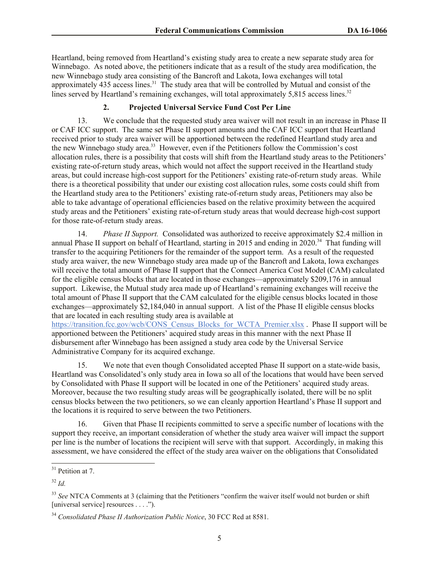Heartland, being removed from Heartland's existing study area to create a new separate study area for Winnebago. As noted above, the petitioners indicate that as a result of the study area modification, the new Winnebago study area consisting of the Bancroft and Lakota, Iowa exchanges will total approximately 435 access lines.<sup>31</sup> The study area that will be controlled by Mutual and consist of the lines served by Heartland's remaining exchanges, will total approximately 5,815 access lines.<sup>32</sup>

# **2. Projected Universal Service Fund Cost Per Line**

13. We conclude that the requested study area waiver will not result in an increase in Phase II or CAF ICC support. The same set Phase II support amounts and the CAF ICC support that Heartland received prior to study area waiver will be apportioned between the redefined Heartland study area and the new Winnebago study area. 33 However, even if the Petitioners follow the Commission's cost allocation rules, there is a possibility that costs will shift from the Heartland study areas to the Petitioners' existing rate-of-return study areas, which would not affect the support received in the Heartland study areas, but could increase high-cost support for the Petitioners' existing rate-of-return study areas. While there is a theoretical possibility that under our existing cost allocation rules, some costs could shift from the Heartland study area to the Petitioners' existing rate-of-return study areas, Petitioners may also be able to take advantage of operational efficiencies based on the relative proximity between the acquired study areas and the Petitioners' existing rate-of-return study areas that would decrease high-cost support for those rate-of-return study areas.

14. *Phase II Support.* Consolidated was authorized to receive approximately \$2.4 million in annual Phase II support on behalf of Heartland, starting in 2015 and ending in 2020.<sup>34</sup> That funding will transfer to the acquiring Petitioners for the remainder of the support term. As a result of the requested study area waiver, the new Winnebago study area made up of the Bancroft and Lakota, Iowa exchanges will receive the total amount of Phase II support that the Connect America Cost Model (CAM) calculated for the eligible census blocks that are located in those exchanges—approximately \$209,176 in annual support. Likewise, the Mutual study area made up of Heartland's remaining exchanges will receive the total amount of Phase II support that the CAM calculated for the eligible census blocks located in those exchanges—approximately \$2,184,040 in annual support. A list of the Phase II eligible census blocks that are located in each resulting study area is available at

https://transition.fcc.gov/wcb/CONS\_Census\_Blocks\_for\_WCTA\_Premier.xlsx . Phase II support will be apportioned between the Petitioners' acquired study areas in this manner with the next Phase II disbursement after Winnebago has been assigned a study area code by the Universal Service Administrative Company for its acquired exchange.

15. We note that even though Consolidated accepted Phase II support on a state-wide basis, Heartland was Consolidated's only study area in Iowa so all of the locations that would have been served by Consolidated with Phase II support will be located in one of the Petitioners' acquired study areas. Moreover, because the two resulting study areas will be geographically isolated, there will be no split census blocks between the two petitioners, so we can cleanly apportion Heartland's Phase II support and the locations it is required to serve between the two Petitioners.

16. Given that Phase II recipients committed to serve a specific number of locations with the support they receive, an important consideration of whether the study area waiver will impact the support per line is the number of locations the recipient will serve with that support. Accordingly, in making this assessment, we have considered the effect of the study area waiver on the obligations that Consolidated

 $\overline{a}$ 

 $31$  Petition at 7.

<sup>32</sup> *Id.*

<sup>&</sup>lt;sup>33</sup> See NTCA Comments at 3 (claiming that the Petitioners "confirm the waiver itself would not burden or shift [universal service] resources . . . .").

<sup>34</sup> *Consolidated Phase II Authorization Public Notice*, 30 FCC Rcd at 8581.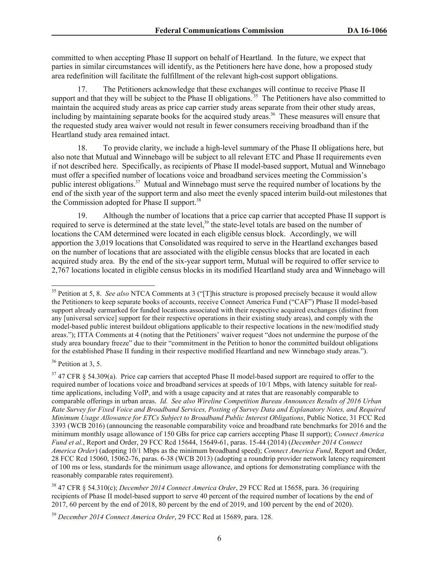committed to when accepting Phase II support on behalf of Heartland. In the future, we expect that parties in similar circumstances will identify, as the Petitioners here have done, how a proposed study area redefinition will facilitate the fulfillment of the relevant high-cost support obligations.

17. The Petitioners acknowledge that these exchanges will continue to receive Phase II support and that they will be subject to the Phase II obligations.<sup>35</sup> The Petitioners have also committed to maintain the acquired study areas as price cap carrier study areas separate from their other study areas, including by maintaining separate books for the acquired study areas.<sup>36</sup> These measures will ensure that the requested study area waiver would not result in fewer consumers receiving broadband than if the Heartland study area remained intact.

18. To provide clarity, we include a high-level summary of the Phase II obligations here, but also note that Mutual and Winnebago will be subject to all relevant ETC and Phase II requirements even if not described here. Specifically, as recipients of Phase II model-based support, Mutual and Winnebago must offer a specified number of locations voice and broadband services meeting the Commission's public interest obligations.<sup>37</sup> Mutual and Winnebago must serve the required number of locations by the end of the sixth year of the support term and also meet the evenly spaced interim build-out milestones that the Commission adopted for Phase II support.<sup>38</sup>

19. Although the number of locations that a price cap carrier that accepted Phase II support is required to serve is determined at the state level,<sup>39</sup> the state-level totals are based on the number of locations the CAM determined were located in each eligible census block. Accordingly, we will apportion the 3,019 locations that Consolidated was required to serve in the Heartland exchanges based on the number of locations that are associated with the eligible census blocks that are located in each acquired study area. By the end of the six-year support term, Mutual will be required to offer service to 2,767 locations located in eligible census blocks in its modified Heartland study area and Winnebago will

 $36$  Petition at 3, 5.

 $\overline{a}$ 

<sup>38</sup> 47 CFR § 54.310(c); *December 2014 Connect America Order*, 29 FCC Rcd at 15658, para. 36 (requiring recipients of Phase II model-based support to serve 40 percent of the required number of locations by the end of 2017, 60 percent by the end of 2018, 80 percent by the end of 2019, and 100 percent by the end of 2020).

<sup>35</sup> Petition at 5, 8. *See also* NTCA Comments at 3 ("[T]his structure is proposed precisely because it would allow the Petitioners to keep separate books of accounts, receive Connect America Fund ("CAF") Phase II model-based support already earmarked for funded locations associated with their respective acquired exchanges (distinct from any [universal service] support for their respective operations in their existing study areas), and comply with the model-based public interest buildout obligations applicable to their respective locations in the new/modified study areas."); ITTA Comments at 4 (noting that the Petitioners' waiver request "does not undermine the purpose of the study area boundary freeze" due to their "commitment in the Petition to honor the committed buildout obligations for the established Phase II funding in their respective modified Heartland and new Winnebago study areas.").

<sup>&</sup>lt;sup>37</sup> 47 CFR § 54.309(a). Price cap carriers that accepted Phase II model-based support are required to offer to the required number of locations voice and broadband services at speeds of 10/1 Mbps, with latency suitable for realtime applications, including VoIP, and with a usage capacity and at rates that are reasonably comparable to comparable offerings in urban areas. *Id. See also Wireline Competition Bureau Announces Results of 2016 Urban Rate Survey for Fixed Voice and Broadband Services, Posting of Survey Data and Explanatory Notes, and Required Minimum Usage Allowance for ETCs Subject to Broadband Public Interest Obligations*, Public Notice, 31 FCC Rcd 3393 (WCB 2016) (announcing the reasonable comparability voice and broadband rate benchmarks for 2016 and the minimum monthly usage allowance of 150 GBs for price cap carriers accepting Phase II support); *Connect America Fund et al.*, Report and Order, 29 FCC Rcd 15644, 15649-61, paras. 15-44 (2014) (*December 2014 Connect America Order*) (adopting 10/1 Mbps as the minimum broadband speed); *Connect America Fund*, Report and Order, 28 FCC Rcd 15060, 15062-76, paras. 6-38 (WCB 2013) (adopting a roundtrip provider network latency requirement of 100 ms or less, standards for the minimum usage allowance, and options for demonstrating compliance with the reasonably comparable rates requirement).

<sup>39</sup> *December 2014 Connect America Order*, 29 FCC Rcd at 15689, para. 128.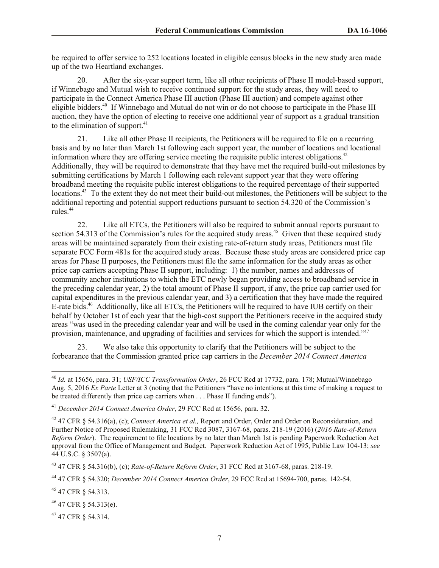be required to offer service to 252 locations located in eligible census blocks in the new study area made up of the two Heartland exchanges.

20. After the six-year support term, like all other recipients of Phase II model-based support, if Winnebago and Mutual wish to receive continued support for the study areas, they will need to participate in the Connect America Phase III auction (Phase III auction) and compete against other eligible bidders.<sup>40</sup> If Winnebago and Mutual do not win or do not choose to participate in the Phase III auction, they have the option of electing to receive one additional year of support as a gradual transition to the elimination of support.<sup>41</sup>

21. Like all other Phase II recipients, the Petitioners will be required to file on a recurring basis and by no later than March 1st following each support year, the number of locations and locational information where they are offering service meeting the requisite public interest obligations.<sup>42</sup> Additionally, they will be required to demonstrate that they have met the required build-out milestones by submitting certifications by March 1 following each relevant support year that they were offering broadband meeting the requisite public interest obligations to the required percentage of their supported locations.<sup>43</sup> To the extent they do not meet their build-out milestones, the Petitioners will be subject to the additional reporting and potential support reductions pursuant to section 54.320 of the Commission's rules.<sup>44</sup>

22. Like all ETCs, the Petitioners will also be required to submit annual reports pursuant to section 54.313 of the Commission's rules for the acquired study areas.<sup>45</sup> Given that these acquired study areas will be maintained separately from their existing rate-of-return study areas, Petitioners must file separate FCC Form 481s for the acquired study areas. Because these study areas are considered price cap areas for Phase II purposes, the Petitioners must file the same information for the study areas as other price cap carriers accepting Phase II support, including: 1) the number, names and addresses of community anchor institutions to which the ETC newly began providing access to broadband service in the preceding calendar year, 2) the total amount of Phase II support, if any, the price cap carrier used for capital expenditures in the previous calendar year, and 3) a certification that they have made the required E-rate bids.<sup>46</sup> Additionally, like all ETCs, the Petitioners will be required to have IUB certify on their behalf by October 1st of each year that the high-cost support the Petitioners receive in the acquired study areas "was used in the preceding calendar year and will be used in the coming calendar year only for the provision, maintenance, and upgrading of facilities and services for which the support is intended."<sup>47</sup>

23. We also take this opportunity to clarify that the Petitioners will be subject to the forbearance that the Commission granted price cap carriers in the *December 2014 Connect America* 

 $\overline{a}$ 

<sup>40</sup> *Id.* at 15656, para. 31; *USF/ICC Transformation Order*, 26 FCC Rcd at 17732, para. 178; Mutual/Winnebago Aug. 5, 2016 *Ex Parte* Letter at 3 (noting that the Petitioners "have no intentions at this time of making a request to be treated differently than price cap carriers when . . . Phase II funding ends").

<sup>41</sup> *December 2014 Connect America Order*, 29 FCC Rcd at 15656, para. 32.

<sup>42</sup> 47 CFR § 54.316(a), (c); *Connect America et al.,* Report and Order, Order and Order on Reconsideration, and Further Notice of Proposed Rulemaking, 31 FCC Rcd 3087, 3167-68, paras. 218-19 (2016) (*2016 Rate-of-Return Reform Order*). The requirement to file locations by no later than March 1st is pending Paperwork Reduction Act approval from the Office of Management and Budget. Paperwork Reduction Act of 1995, Public Law 104-13; *see* 44 U.S.C. § 3507(a).

<sup>43</sup> 47 CFR § 54.316(b), (c); *Rate-of-Return Reform Order*, 31 FCC Rcd at 3167-68, paras. 218-19.

<sup>44</sup> 47 CFR § 54.320; *December 2014 Connect America Order*, 29 FCC Rcd at 15694-700, paras. 142-54.

<sup>45</sup> 47 CFR § 54.313.

<sup>46</sup> 47 CFR § 54.313(e).

<sup>47</sup> 47 CFR § 54.314.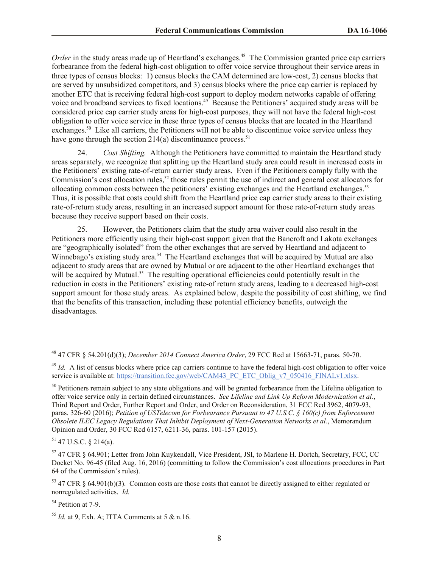Order in the study areas made up of Heartland's exchanges.<sup>48</sup> The Commission granted price cap carriers forbearance from the federal high-cost obligation to offer voice service throughout their service areas in three types of census blocks: 1) census blocks the CAM determined are low-cost, 2) census blocks that are served by unsubsidized competitors, and 3) census blocks where the price cap carrier is replaced by another ETC that is receiving federal high-cost support to deploy modern networks capable of offering voice and broadband services to fixed locations.<sup>49</sup> Because the Petitioners' acquired study areas will be considered price cap carrier study areas for high-cost purposes, they will not have the federal high-cost obligation to offer voice service in these three types of census blocks that are located in the Heartland exchanges.<sup>50</sup> Like all carriers, the Petitioners will not be able to discontinue voice service unless they have gone through the section 214(a) discontinuance process.<sup>51</sup>

24. *Cost Shifting.* Although the Petitioners have committed to maintain the Heartland study areas separately, we recognize that splitting up the Heartland study area could result in increased costs in the Petitioners' existing rate-of-return carrier study areas. Even if the Petitioners comply fully with the Commission's cost allocation rules,<sup>52</sup> those rules permit the use of indirect and general cost allocators for allocating common costs between the petitioners' existing exchanges and the Heartland exchanges.<sup>53</sup> Thus, it is possible that costs could shift from the Heartland price cap carrier study areas to their existing rate-of-return study areas, resulting in an increased support amount for those rate-of-return study areas because they receive support based on their costs.

25. However, the Petitioners claim that the study area waiver could also result in the Petitioners more efficiently using their high-cost support given that the Bancroft and Lakota exchanges are "geographically isolated" from the other exchanges that are served by Heartland and adjacent to Winnebago's existing study area.<sup>54</sup> The Heartland exchanges that will be acquired by Mutual are also adjacent to study areas that are owned by Mutual or are adjacent to the other Heartland exchanges that will be acquired by Mutual.<sup>55</sup> The resulting operational efficiencies could potentially result in the reduction in costs in the Petitioners' existing rate-of return study areas, leading to a decreased high-cost support amount for those study areas. As explained below, despite the possibility of cost shifting, we find that the benefits of this transaction, including these potential efficiency benefits, outweigh the disadvantages.

 $51$  47 U.S.C. § 214(a).

l

<sup>54</sup> Petition at 7-9.

<sup>48</sup> 47 CFR § 54.201(d)(3); *December 2014 Connect America Order*, 29 FCC Rcd at 15663-71, paras. 50-70.

<sup>&</sup>lt;sup>49</sup> *Id.* A list of census blocks where price cap carriers continue to have the federal high-cost obligation to offer voice service is available at: https://transition.fcc.gov/wcb/CAM43\_PC\_ETC\_Oblig\_v7\_050416\_FINALv1.xlsx.

 $50$  Petitioners remain subject to any state obligations and will be granted forbearance from the Lifeline obligation to offer voice service only in certain defined circumstances. *See Lifeline and Link Up Reform Modernization et al.*, Third Report and Order, Further Report and Order, and Order on Reconsideration, 31 FCC Rcd 3962, 4079-93, paras. 326-60 (2016); *Petition of USTelecom for Forbearance Pursuant to 47 U.S.C. § 160(c) from Enforcement Obsolete ILEC Legacy Regulations That Inhibit Deployment of Next-Generation Networks et al.*, Memorandum Opinion and Order, 30 FCC Rcd 6157, 6211-36, paras. 101-157 (2015).

<sup>52</sup> 47 CFR § 64.901; Letter from John Kuykendall, Vice President, JSI, to Marlene H. Dortch, Secretary, FCC, CC Docket No. 96-45 (filed Aug. 16, 2016) (committing to follow the Commission's cost allocations procedures in Part 64 of the Commission's rules).

<sup>53</sup> 47 CFR § 64.901(b)(3). Common costs are those costs that cannot be directly assigned to either regulated or nonregulated activities. *Id.* 

 $55$  *Id.* at 9, Exh. A; ITTA Comments at 5 & n.16.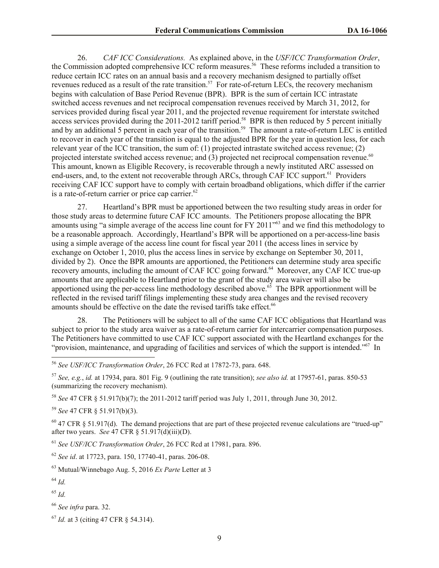26. *CAF ICC Considerations.* As explained above, in the *USF/ICC Transformation Order*, the Commission adopted comprehensive ICC reform measures.<sup>56</sup> These reforms included a transition to reduce certain ICC rates on an annual basis and a recovery mechanism designed to partially offset revenues reduced as a result of the rate transition.<sup>57</sup> For rate-of-return LECs, the recovery mechanism begins with calculation of Base Period Revenue (BPR). BPR is the sum of certain ICC intrastate switched access revenues and net reciprocal compensation revenues received by March 31, 2012, for services provided during fiscal year 2011, and the projected revenue requirement for interstate switched access services provided during the 2011-2012 tariff period.<sup>58</sup> BPR is then reduced by 5 percent initially and by an additional 5 percent in each year of the transition.<sup>59</sup> The amount a rate-of-return LEC is entitled to recover in each year of the transition is equal to the adjusted BPR for the year in question less, for each relevant year of the ICC transition, the sum of: (1) projected intrastate switched access revenue; (2) projected interstate switched access revenue; and (3) projected net reciprocal compensation revenue.<sup>60</sup> This amount, known as Eligible Recovery, is recoverable through a newly instituted ARC assessed on end-users, and, to the extent not recoverable through ARCs, through CAF ICC support.<sup>61</sup> Providers receiving CAF ICC support have to comply with certain broadband obligations, which differ if the carrier is a rate-of-return carrier or price cap carrier.<sup>62</sup>

27. Heartland's BPR must be apportioned between the two resulting study areas in order for those study areas to determine future CAF ICC amounts. The Petitioners propose allocating the BPR amounts using "a simple average of the access line count for FY 2011<sup>"63</sup> and we find this methodology to be a reasonable approach. Accordingly, Heartland's BPR will be apportioned on a per-access-line basis using a simple average of the access line count for fiscal year 2011 (the access lines in service by exchange on October 1, 2010, plus the access lines in service by exchange on September 30, 2011, divided by 2). Once the BPR amounts are apportioned, the Petitioners can determine study area specific recovery amounts, including the amount of CAF ICC going forward.<sup>64</sup> Moreover, any CAF ICC true-up amounts that are applicable to Heartland prior to the grant of the study area waiver will also be apportioned using the per-access line methodology described above.<sup>65</sup> The BPR apportionment will be reflected in the revised tariff filings implementing these study area changes and the revised recovery amounts should be effective on the date the revised tariffs take effect. 66

28. The Petitioners will be subject to all of the same CAF ICC obligations that Heartland was subject to prior to the study area waiver as a rate-of-return carrier for intercarrier compensation purposes. The Petitioners have committed to use CAF ICC support associated with the Heartland exchanges for the "provision, maintenance, and upgrading of facilities and services of which the support is intended."<sup>67</sup> In

<sup>58</sup> *See* 47 CFR § 51.917(b)(7); the 2011-2012 tariff period was July 1, 2011, through June 30, 2012.

<sup>59</sup> *See* 47 CFR § 51.917(b)(3).

 $60$  47 CFR  $\&$  51.917(d). The demand projections that are part of these projected revenue calculations are "trued-up" after two years. *See* 47 CFR § 51.917(d)(iii)(D).

<sup>61</sup> *See USF/ICC Transformation Order*, 26 FCC Rcd at 17981, para. 896.

<sup>62</sup> *See id*. at 17723, para. 150, 17740-41, paras. 206-08.

<sup>63</sup> Mutual/Winnebago Aug. 5, 2016 *Ex Parte* Letter at 3

<sup>64</sup> *Id.*

 $\overline{a}$ 

<sup>65</sup> *Id.*

<sup>66</sup> *See infra* para. 32.

<sup>56</sup> *See USF/ICC Transformation Order*, 26 FCC Rcd at 17872-73, para. 648.

<sup>57</sup> *See, e.g.*, *id.* at 17934, para. 801 Fig. 9 (outlining the rate transition); *see also id.* at 17957-61, paras. 850-53 (summarizing the recovery mechanism).

<sup>67</sup> *Id.* at 3 (citing 47 CFR § 54.314).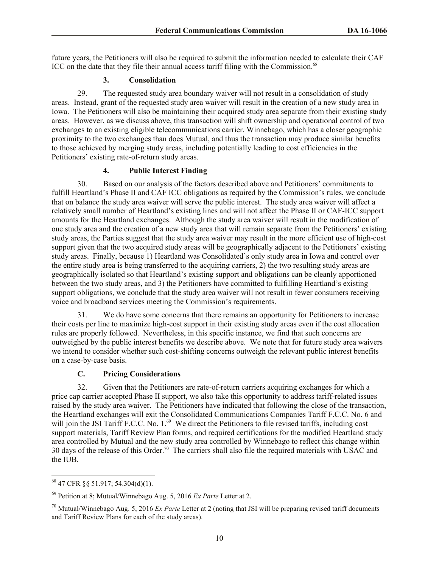future years, the Petitioners will also be required to submit the information needed to calculate their CAF ICC on the date that they file their annual access tariff filing with the Commission.<sup>68</sup>

## **3. Consolidation**

29. The requested study area boundary waiver will not result in a consolidation of study areas. Instead, grant of the requested study area waiver will result in the creation of a new study area in Iowa. The Petitioners will also be maintaining their acquired study area separate from their existing study areas. However, as we discuss above, this transaction will shift ownership and operational control of two exchanges to an existing eligible telecommunications carrier, Winnebago, which has a closer geographic proximity to the two exchanges than does Mutual, and thus the transaction may produce similar benefits to those achieved by merging study areas, including potentially leading to cost efficiencies in the Petitioners' existing rate-of-return study areas.

## **4. Public Interest Finding**

30. Based on our analysis of the factors described above and Petitioners' commitments to fulfill Heartland's Phase II and CAF ICC obligations as required by the Commission's rules, we conclude that on balance the study area waiver will serve the public interest. The study area waiver will affect a relatively small number of Heartland's existing lines and will not affect the Phase II or CAF-ICC support amounts for the Heartland exchanges. Although the study area waiver will result in the modification of one study area and the creation of a new study area that will remain separate from the Petitioners' existing study areas, the Parties suggest that the study area waiver may result in the more efficient use of high-cost support given that the two acquired study areas will be geographically adjacent to the Petitioners' existing study areas. Finally, because 1) Heartland was Consolidated's only study area in Iowa and control over the entire study area is being transferred to the acquiring carriers, 2) the two resulting study areas are geographically isolated so that Heartland's existing support and obligations can be cleanly apportioned between the two study areas, and 3) the Petitioners have committed to fulfilling Heartland's existing support obligations, we conclude that the study area waiver will not result in fewer consumers receiving voice and broadband services meeting the Commission's requirements.

31. We do have some concerns that there remains an opportunity for Petitioners to increase their costs per line to maximize high-cost support in their existing study areas even if the cost allocation rules are properly followed. Nevertheless, in this specific instance, we find that such concerns are outweighed by the public interest benefits we describe above. We note that for future study area waivers we intend to consider whether such cost-shifting concerns outweigh the relevant public interest benefits on a case-by-case basis.

# **C. Pricing Considerations**

32. Given that the Petitioners are rate-of-return carriers acquiring exchanges for which a price cap carrier accepted Phase II support, we also take this opportunity to address tariff-related issues raised by the study area waiver. The Petitioners have indicated that following the close of the transaction, the Heartland exchanges will exit the Consolidated Communications Companies Tariff F.C.C. No. 6 and will join the JSI Tariff F.C.C. No. 1.<sup>69</sup> We direct the Petitioners to file revised tariffs, including cost support materials, Tariff Review Plan forms, and required certifications for the modified Heartland study area controlled by Mutual and the new study area controlled by Winnebago to reflect this change within 30 days of the release of this Order.<sup>70</sup> The carriers shall also file the required materials with USAC and the IUB.

 $\overline{\phantom{a}}$  $^{68}$  47 CFR §§ 51.917; 54.304(d)(1).

<sup>69</sup> Petition at 8; Mutual/Winnebago Aug. 5, 2016 *Ex Parte* Letter at 2.

<sup>70</sup> Mutual/Winnebago Aug. 5, 2016 *Ex Parte* Letter at 2 (noting that JSI will be preparing revised tariff documents and Tariff Review Plans for each of the study areas).